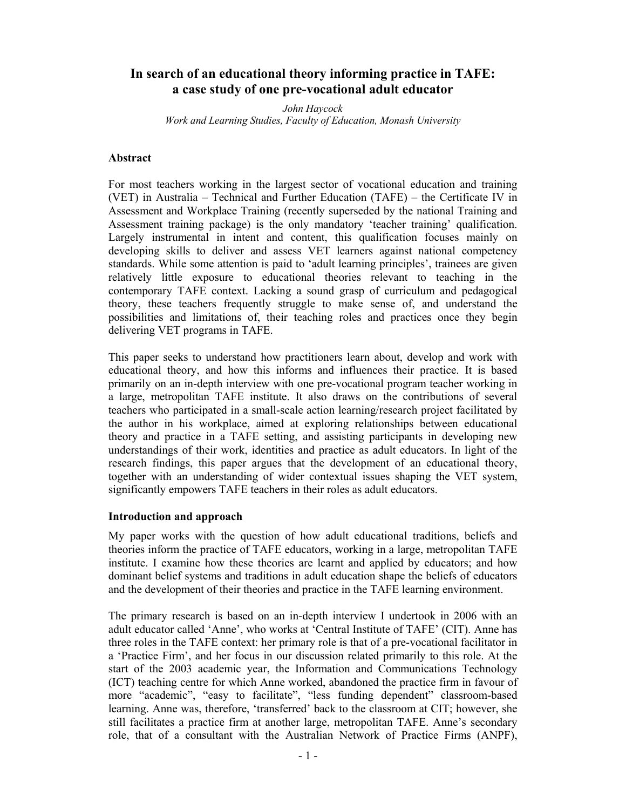# **In search of an educational theory informing practice in TAFE: a case study of one pre-vocational adult educator**

*John Haycock Work and Learning Studies, Faculty of Education, Monash University* 

# **Abstract**

For most teachers working in the largest sector of vocational education and training (VET) in Australia – Technical and Further Education (TAFE) – the Certificate IV in Assessment and Workplace Training (recently superseded by the national Training and Assessment training package) is the only mandatory 'teacher training' qualification. Largely instrumental in intent and content, this qualification focuses mainly on developing skills to deliver and assess VET learners against national competency standards. While some attention is paid to 'adult learning principles', trainees are given relatively little exposure to educational theories relevant to teaching in the contemporary TAFE context. Lacking a sound grasp of curriculum and pedagogical theory, these teachers frequently struggle to make sense of, and understand the possibilities and limitations of, their teaching roles and practices once they begin delivering VET programs in TAFE.

This paper seeks to understand how practitioners learn about, develop and work with educational theory, and how this informs and influences their practice. It is based primarily on an in-depth interview with one pre-vocational program teacher working in a large, metropolitan TAFE institute. It also draws on the contributions of several teachers who participated in a small-scale action learning/research project facilitated by the author in his workplace, aimed at exploring relationships between educational theory and practice in a TAFE setting, and assisting participants in developing new understandings of their work, identities and practice as adult educators. In light of the research findings, this paper argues that the development of an educational theory, together with an understanding of wider contextual issues shaping the VET system, significantly empowers TAFE teachers in their roles as adult educators.

## **Introduction and approach**

My paper works with the question of how adult educational traditions, beliefs and theories inform the practice of TAFE educators, working in a large, metropolitan TAFE institute. I examine how these theories are learnt and applied by educators; and how dominant belief systems and traditions in adult education shape the beliefs of educators and the development of their theories and practice in the TAFE learning environment.

The primary research is based on an in-depth interview I undertook in 2006 with an adult educator called 'Anne', who works at 'Central Institute of TAFE' (CIT). Anne has three roles in the TAFE context: her primary role is that of a pre-vocational facilitator in a 'Practice Firm', and her focus in our discussion related primarily to this role. At the start of the 2003 academic year, the Information and Communications Technology (ICT) teaching centre for which Anne worked, abandoned the practice firm in favour of more "academic", "easy to facilitate", "less funding dependent" classroom-based learning. Anne was, therefore, 'transferred' back to the classroom at CIT; however, she still facilitates a practice firm at another large, metropolitan TAFE. Anne's secondary role, that of a consultant with the Australian Network of Practice Firms (ANPF),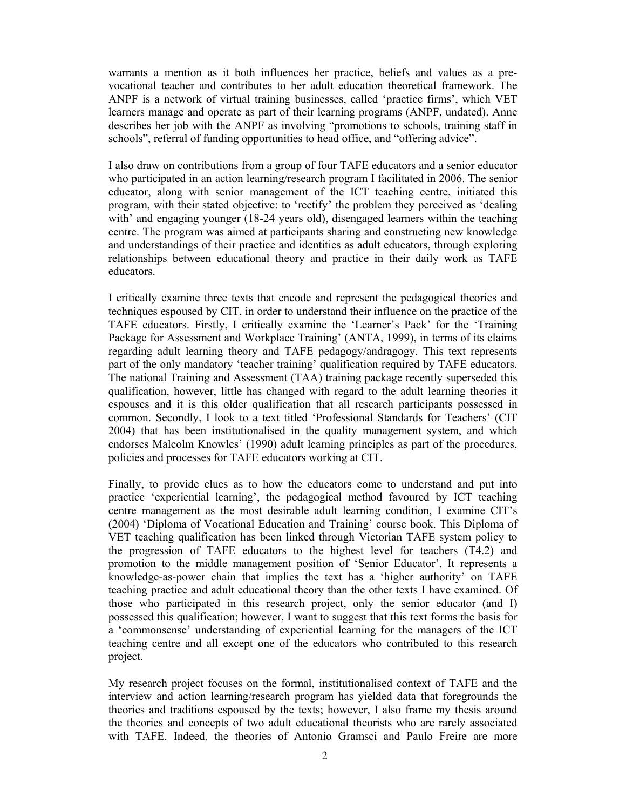warrants a mention as it both influences her practice, beliefs and values as a prevocational teacher and contributes to her adult education theoretical framework. The ANPF is a network of virtual training businesses, called 'practice firms', which VET learners manage and operate as part of their learning programs (ANPF, undated). Anne describes her job with the ANPF as involving "promotions to schools, training staff in schools", referral of funding opportunities to head office, and "offering advice".

I also draw on contributions from a group of four TAFE educators and a senior educator who participated in an action learning/research program I facilitated in 2006. The senior educator, along with senior management of the ICT teaching centre, initiated this program, with their stated objective: to 'rectify' the problem they perceived as 'dealing with' and engaging younger (18-24 years old), disengaged learners within the teaching centre. The program was aimed at participants sharing and constructing new knowledge and understandings of their practice and identities as adult educators, through exploring relationships between educational theory and practice in their daily work as TAFE educators.

I critically examine three texts that encode and represent the pedagogical theories and techniques espoused by CIT, in order to understand their influence on the practice of the TAFE educators. Firstly, I critically examine the 'Learner's Pack' for the 'Training Package for Assessment and Workplace Training' (ANTA, 1999), in terms of its claims regarding adult learning theory and TAFE pedagogy/andragogy. This text represents part of the only mandatory 'teacher training' qualification required by TAFE educators. The national Training and Assessment (TAA) training package recently superseded this qualification, however, little has changed with regard to the adult learning theories it espouses and it is this older qualification that all research participants possessed in common. Secondly, I look to a text titled 'Professional Standards for Teachers' (CIT 2004) that has been institutionalised in the quality management system, and which endorses Malcolm Knowles' (1990) adult learning principles as part of the procedures, policies and processes for TAFE educators working at CIT.

Finally, to provide clues as to how the educators come to understand and put into practice 'experiential learning', the pedagogical method favoured by ICT teaching centre management as the most desirable adult learning condition, I examine CIT's (2004) 'Diploma of Vocational Education and Training' course book. This Diploma of VET teaching qualification has been linked through Victorian TAFE system policy to the progression of TAFE educators to the highest level for teachers (T4.2) and promotion to the middle management position of 'Senior Educator'. It represents a knowledge-as-power chain that implies the text has a 'higher authority' on TAFE teaching practice and adult educational theory than the other texts I have examined. Of those who participated in this research project, only the senior educator (and I) possessed this qualification; however, I want to suggest that this text forms the basis for a 'commonsense' understanding of experiential learning for the managers of the ICT teaching centre and all except one of the educators who contributed to this research project.

My research project focuses on the formal, institutionalised context of TAFE and the interview and action learning/research program has yielded data that foregrounds the theories and traditions espoused by the texts; however, I also frame my thesis around the theories and concepts of two adult educational theorists who are rarely associated with TAFE. Indeed, the theories of Antonio Gramsci and Paulo Freire are more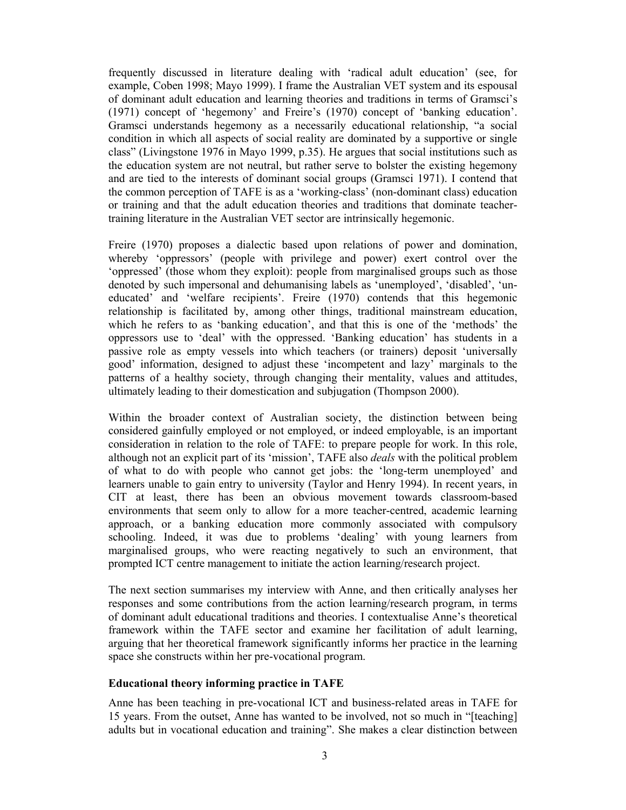frequently discussed in literature dealing with 'radical adult education' (see, for example, Coben 1998; Mayo 1999). I frame the Australian VET system and its espousal of dominant adult education and learning theories and traditions in terms of Gramsci's (1971) concept of 'hegemony' and Freire's (1970) concept of 'banking education'. Gramsci understands hegemony as a necessarily educational relationship, "a social condition in which all aspects of social reality are dominated by a supportive or single class" (Livingstone 1976 in Mayo 1999, p.35). He argues that social institutions such as the education system are not neutral, but rather serve to bolster the existing hegemony and are tied to the interests of dominant social groups (Gramsci 1971). I contend that the common perception of TAFE is as a 'working-class' (non-dominant class) education or training and that the adult education theories and traditions that dominate teachertraining literature in the Australian VET sector are intrinsically hegemonic.

Freire (1970) proposes a dialectic based upon relations of power and domination, whereby 'oppressors' (people with privilege and power) exert control over the 'oppressed' (those whom they exploit): people from marginalised groups such as those denoted by such impersonal and dehumanising labels as 'unemployed', 'disabled', 'uneducated' and 'welfare recipients'. Freire (1970) contends that this hegemonic relationship is facilitated by, among other things, traditional mainstream education, which he refers to as 'banking education', and that this is one of the 'methods' the oppressors use to 'deal' with the oppressed. 'Banking education' has students in a passive role as empty vessels into which teachers (or trainers) deposit 'universally good' information, designed to adjust these 'incompetent and lazy' marginals to the patterns of a healthy society, through changing their mentality, values and attitudes, ultimately leading to their domestication and subjugation (Thompson 2000).

Within the broader context of Australian society, the distinction between being considered gainfully employed or not employed, or indeed employable, is an important consideration in relation to the role of TAFE: to prepare people for work. In this role, although not an explicit part of its 'mission', TAFE also *deals* with the political problem of what to do with people who cannot get jobs: the 'long-term unemployed' and learners unable to gain entry to university (Taylor and Henry 1994). In recent years, in CIT at least, there has been an obvious movement towards classroom-based environments that seem only to allow for a more teacher-centred, academic learning approach, or a banking education more commonly associated with compulsory schooling. Indeed, it was due to problems 'dealing' with young learners from marginalised groups, who were reacting negatively to such an environment, that prompted ICT centre management to initiate the action learning/research project.

The next section summarises my interview with Anne, and then critically analyses her responses and some contributions from the action learning/research program, in terms of dominant adult educational traditions and theories. I contextualise Anne's theoretical framework within the TAFE sector and examine her facilitation of adult learning, arguing that her theoretical framework significantly informs her practice in the learning space she constructs within her pre-vocational program.

#### **Educational theory informing practice in TAFE**

Anne has been teaching in pre-vocational ICT and business-related areas in TAFE for 15 years. From the outset, Anne has wanted to be involved, not so much in "[teaching] adults but in vocational education and training". She makes a clear distinction between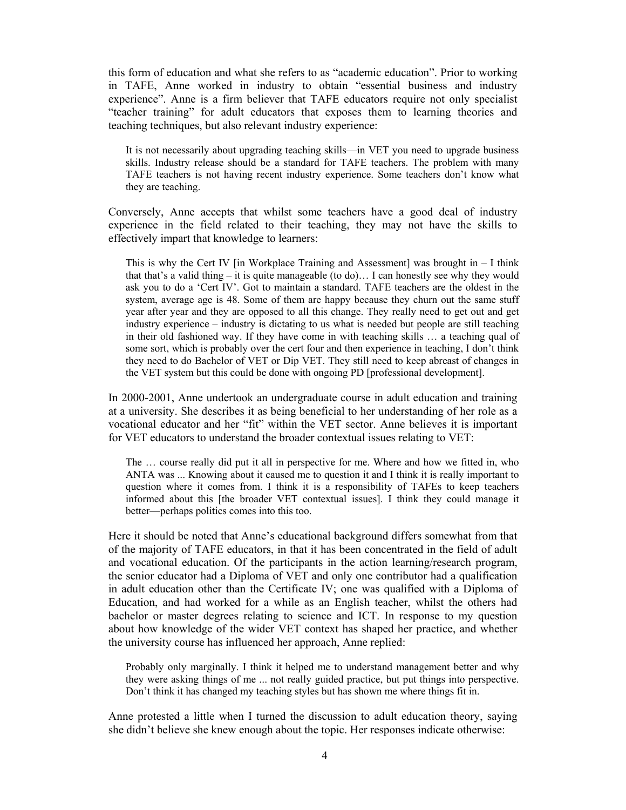this form of education and what she refers to as "academic education". Prior to working in TAFE, Anne worked in industry to obtain "essential business and industry experience". Anne is a firm believer that TAFE educators require not only specialist "teacher training" for adult educators that exposes them to learning theories and teaching techniques, but also relevant industry experience:

It is not necessarily about upgrading teaching skills—in VET you need to upgrade business skills. Industry release should be a standard for TAFE teachers. The problem with many TAFE teachers is not having recent industry experience. Some teachers don't know what they are teaching.

Conversely, Anne accepts that whilst some teachers have a good deal of industry experience in the field related to their teaching, they may not have the skills to effectively impart that knowledge to learners:

This is why the Cert IV [in Workplace Training and Assessment] was brought in  $-1$  think that that's a valid thing – it is quite manageable (to do)… I can honestly see why they would ask you to do a 'Cert IV'. Got to maintain a standard. TAFE teachers are the oldest in the system, average age is 48. Some of them are happy because they churn out the same stuff year after year and they are opposed to all this change. They really need to get out and get industry experience – industry is dictating to us what is needed but people are still teaching in their old fashioned way. If they have come in with teaching skills … a teaching qual of some sort, which is probably over the cert four and then experience in teaching, I don't think they need to do Bachelor of VET or Dip VET. They still need to keep abreast of changes in the VET system but this could be done with ongoing PD [professional development].

In 2000-2001, Anne undertook an undergraduate course in adult education and training at a university. She describes it as being beneficial to her understanding of her role as a vocational educator and her "fit" within the VET sector. Anne believes it is important for VET educators to understand the broader contextual issues relating to VET:

The … course really did put it all in perspective for me. Where and how we fitted in, who ANTA was ... Knowing about it caused me to question it and I think it is really important to question where it comes from. I think it is a responsibility of TAFEs to keep teachers informed about this [the broader VET contextual issues]. I think they could manage it better—perhaps politics comes into this too.

Here it should be noted that Anne's educational background differs somewhat from that of the majority of TAFE educators, in that it has been concentrated in the field of adult and vocational education. Of the participants in the action learning/research program, the senior educator had a Diploma of VET and only one contributor had a qualification in adult education other than the Certificate IV; one was qualified with a Diploma of Education, and had worked for a while as an English teacher, whilst the others had bachelor or master degrees relating to science and ICT. In response to my question about how knowledge of the wider VET context has shaped her practice, and whether the university course has influenced her approach, Anne replied:

Probably only marginally. I think it helped me to understand management better and why they were asking things of me ... not really guided practice, but put things into perspective. Don't think it has changed my teaching styles but has shown me where things fit in.

Anne protested a little when I turned the discussion to adult education theory, saying she didn't believe she knew enough about the topic. Her responses indicate otherwise: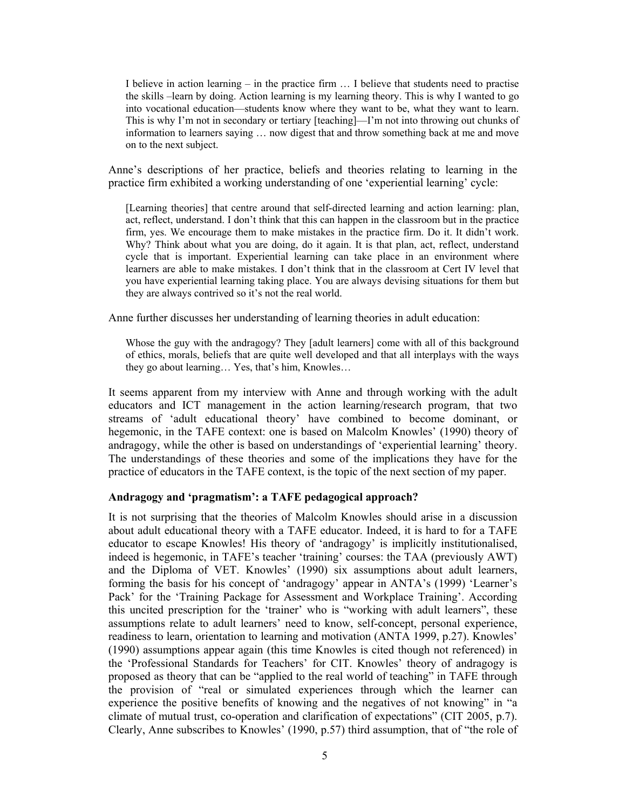I believe in action learning – in the practice firm … I believe that students need to practise the skills –learn by doing. Action learning is my learning theory. This is why I wanted to go into vocational education—students know where they want to be, what they want to learn. This is why I'm not in secondary or tertiary [teaching]—I'm not into throwing out chunks of information to learners saying … now digest that and throw something back at me and move on to the next subject.

Anne's descriptions of her practice, beliefs and theories relating to learning in the practice firm exhibited a working understanding of one 'experiential learning' cycle:

[Learning theories] that centre around that self-directed learning and action learning: plan, act, reflect, understand. I don't think that this can happen in the classroom but in the practice firm, yes. We encourage them to make mistakes in the practice firm. Do it. It didn't work. Why? Think about what you are doing, do it again. It is that plan, act, reflect, understand cycle that is important. Experiential learning can take place in an environment where learners are able to make mistakes. I don't think that in the classroom at Cert IV level that you have experiential learning taking place. You are always devising situations for them but they are always contrived so it's not the real world.

Anne further discusses her understanding of learning theories in adult education:

Whose the guy with the andragogy? They [adult learners] come with all of this background of ethics, morals, beliefs that are quite well developed and that all interplays with the ways they go about learning… Yes, that's him, Knowles…

It seems apparent from my interview with Anne and through working with the adult educators and ICT management in the action learning/research program, that two streams of 'adult educational theory' have combined to become dominant, or hegemonic, in the TAFE context: one is based on Malcolm Knowles' (1990) theory of andragogy, while the other is based on understandings of 'experiential learning' theory. The understandings of these theories and some of the implications they have for the practice of educators in the TAFE context, is the topic of the next section of my paper.

#### **Andragogy and 'pragmatism': a TAFE pedagogical approach?**

It is not surprising that the theories of Malcolm Knowles should arise in a discussion about adult educational theory with a TAFE educator. Indeed, it is hard to for a TAFE educator to escape Knowles! His theory of 'andragogy' is implicitly institutionalised, indeed is hegemonic, in TAFE's teacher 'training' courses: the TAA (previously AWT) and the Diploma of VET. Knowles' (1990) six assumptions about adult learners, forming the basis for his concept of 'andragogy' appear in ANTA's (1999) 'Learner's Pack' for the 'Training Package for Assessment and Workplace Training'. According this uncited prescription for the 'trainer' who is "working with adult learners", these assumptions relate to adult learners' need to know, self-concept, personal experience, readiness to learn, orientation to learning and motivation (ANTA 1999, p.27). Knowles' (1990) assumptions appear again (this time Knowles is cited though not referenced) in the 'Professional Standards for Teachers' for CIT. Knowles' theory of andragogy is proposed as theory that can be "applied to the real world of teaching" in TAFE through the provision of "real or simulated experiences through which the learner can experience the positive benefits of knowing and the negatives of not knowing" in "a climate of mutual trust, co-operation and clarification of expectations" (CIT 2005, p.7). Clearly, Anne subscribes to Knowles' (1990, p.57) third assumption, that of "the role of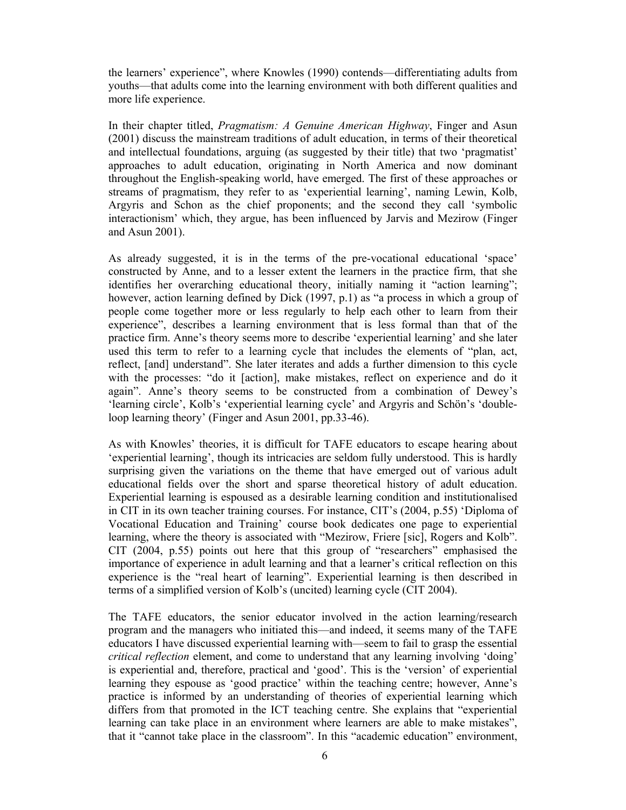the learners' experience", where Knowles (1990) contends—differentiating adults from youths—that adults come into the learning environment with both different qualities and more life experience.

In their chapter titled, *Pragmatism: A Genuine American Highway*, Finger and Asun (2001) discuss the mainstream traditions of adult education, in terms of their theoretical and intellectual foundations, arguing (as suggested by their title) that two 'pragmatist' approaches to adult education, originating in North America and now dominant throughout the English-speaking world, have emerged. The first of these approaches or streams of pragmatism, they refer to as 'experiential learning', naming Lewin, Kolb, Argyris and Schon as the chief proponents; and the second they call 'symbolic interactionism' which, they argue, has been influenced by Jarvis and Mezirow (Finger and Asun 2001).

As already suggested, it is in the terms of the pre-vocational educational 'space' constructed by Anne, and to a lesser extent the learners in the practice firm, that she identifies her overarching educational theory, initially naming it "action learning"; however, action learning defined by Dick (1997, p.1) as "a process in which a group of people come together more or less regularly to help each other to learn from their experience", describes a learning environment that is less formal than that of the practice firm. Anne's theory seems more to describe 'experiential learning' and she later used this term to refer to a learning cycle that includes the elements of "plan, act, reflect, [and] understand". She later iterates and adds a further dimension to this cycle with the processes: "do it [action], make mistakes, reflect on experience and do it again". Anne's theory seems to be constructed from a combination of Dewey's 'learning circle', Kolb's 'experiential learning cycle' and Argyris and Schön's 'doubleloop learning theory' (Finger and Asun 2001, pp.33-46).

As with Knowles' theories, it is difficult for TAFE educators to escape hearing about 'experiential learning', though its intricacies are seldom fully understood. This is hardly surprising given the variations on the theme that have emerged out of various adult educational fields over the short and sparse theoretical history of adult education. Experiential learning is espoused as a desirable learning condition and institutionalised in CIT in its own teacher training courses. For instance, CIT's (2004, p.55) 'Diploma of Vocational Education and Training' course book dedicates one page to experiential learning, where the theory is associated with "Mezirow, Friere [sic], Rogers and Kolb". CIT (2004, p.55) points out here that this group of "researchers" emphasised the importance of experience in adult learning and that a learner's critical reflection on this experience is the "real heart of learning". Experiential learning is then described in terms of a simplified version of Kolb's (uncited) learning cycle (CIT 2004).

The TAFE educators, the senior educator involved in the action learning/research program and the managers who initiated this—and indeed, it seems many of the TAFE educators I have discussed experiential learning with—seem to fail to grasp the essential *critical reflection* element, and come to understand that any learning involving 'doing' is experiential and, therefore, practical and 'good'. This is the 'version' of experiential learning they espouse as 'good practice' within the teaching centre; however, Anne's practice is informed by an understanding of theories of experiential learning which differs from that promoted in the ICT teaching centre. She explains that "experiential learning can take place in an environment where learners are able to make mistakes", that it "cannot take place in the classroom". In this "academic education" environment,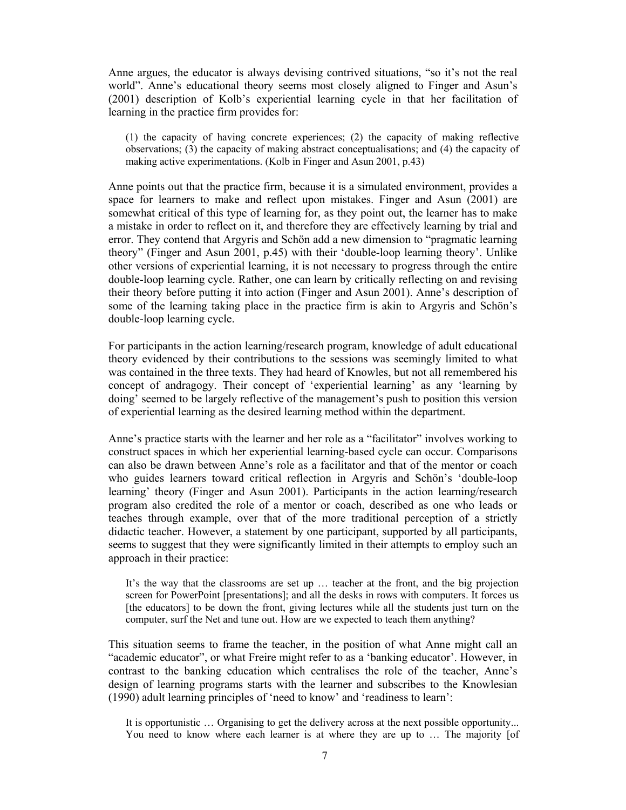Anne argues, the educator is always devising contrived situations, "so it's not the real world". Anne's educational theory seems most closely aligned to Finger and Asun's (2001) description of Kolb's experiential learning cycle in that her facilitation of learning in the practice firm provides for:

(1) the capacity of having concrete experiences; (2) the capacity of making reflective observations; (3) the capacity of making abstract conceptualisations; and (4) the capacity of making active experimentations. (Kolb in Finger and Asun 2001, p.43)

Anne points out that the practice firm, because it is a simulated environment, provides a space for learners to make and reflect upon mistakes. Finger and Asun (2001) are somewhat critical of this type of learning for, as they point out, the learner has to make a mistake in order to reflect on it, and therefore they are effectively learning by trial and error. They contend that Argyris and Schön add a new dimension to "pragmatic learning theory" (Finger and Asun 2001, p.45) with their 'double-loop learning theory'. Unlike other versions of experiential learning, it is not necessary to progress through the entire double-loop learning cycle. Rather, one can learn by critically reflecting on and revising their theory before putting it into action (Finger and Asun 2001). Anne's description of some of the learning taking place in the practice firm is akin to Argyris and Schön's double-loop learning cycle.

For participants in the action learning/research program, knowledge of adult educational theory evidenced by their contributions to the sessions was seemingly limited to what was contained in the three texts. They had heard of Knowles, but not all remembered his concept of andragogy. Their concept of 'experiential learning' as any 'learning by doing' seemed to be largely reflective of the management's push to position this version of experiential learning as the desired learning method within the department.

Anne's practice starts with the learner and her role as a "facilitator" involves working to construct spaces in which her experiential learning-based cycle can occur. Comparisons can also be drawn between Anne's role as a facilitator and that of the mentor or coach who guides learners toward critical reflection in Argyris and Schön's 'double-loop learning' theory (Finger and Asun 2001). Participants in the action learning/research program also credited the role of a mentor or coach, described as one who leads or teaches through example, over that of the more traditional perception of a strictly didactic teacher. However, a statement by one participant, supported by all participants, seems to suggest that they were significantly limited in their attempts to employ such an approach in their practice:

It's the way that the classrooms are set up … teacher at the front, and the big projection screen for PowerPoint [presentations]; and all the desks in rows with computers. It forces us [the educators] to be down the front, giving lectures while all the students just turn on the computer, surf the Net and tune out. How are we expected to teach them anything?

This situation seems to frame the teacher, in the position of what Anne might call an "academic educator", or what Freire might refer to as a 'banking educator'. However, in contrast to the banking education which centralises the role of the teacher, Anne's design of learning programs starts with the learner and subscribes to the Knowlesian (1990) adult learning principles of 'need to know' and 'readiness to learn':

It is opportunistic … Organising to get the delivery across at the next possible opportunity... You need to know where each learner is at where they are up to ... The majority [of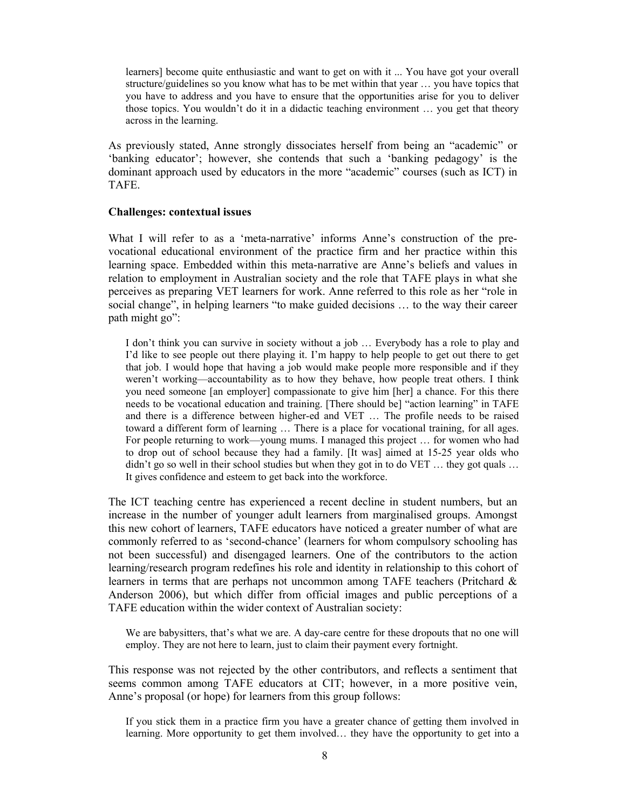learners] become quite enthusiastic and want to get on with it ... You have got your overall structure/guidelines so you know what has to be met within that year … you have topics that you have to address and you have to ensure that the opportunities arise for you to deliver those topics. You wouldn't do it in a didactic teaching environment … you get that theory across in the learning.

As previously stated, Anne strongly dissociates herself from being an "academic" or 'banking educator'; however, she contends that such a 'banking pedagogy' is the dominant approach used by educators in the more "academic" courses (such as ICT) in TAFE.

## **Challenges: contextual issues**

What I will refer to as a 'meta-narrative' informs Anne's construction of the prevocational educational environment of the practice firm and her practice within this learning space. Embedded within this meta-narrative are Anne's beliefs and values in relation to employment in Australian society and the role that TAFE plays in what she perceives as preparing VET learners for work. Anne referred to this role as her "role in social change", in helping learners "to make guided decisions … to the way their career path might go":

I don't think you can survive in society without a job … Everybody has a role to play and I'd like to see people out there playing it. I'm happy to help people to get out there to get that job. I would hope that having a job would make people more responsible and if they weren't working—accountability as to how they behave, how people treat others. I think you need someone [an employer] compassionate to give him [her] a chance. For this there needs to be vocational education and training. [There should be] "action learning" in TAFE and there is a difference between higher-ed and VET … The profile needs to be raised toward a different form of learning … There is a place for vocational training, for all ages. For people returning to work—young mums. I managed this project … for women who had to drop out of school because they had a family. [It was] aimed at 15-25 year olds who didn't go so well in their school studies but when they got in to do VET ... they got quals ... It gives confidence and esteem to get back into the workforce.

The ICT teaching centre has experienced a recent decline in student numbers, but an increase in the number of younger adult learners from marginalised groups. Amongst this new cohort of learners, TAFE educators have noticed a greater number of what are commonly referred to as 'second-chance' (learners for whom compulsory schooling has not been successful) and disengaged learners. One of the contributors to the action learning/research program redefines his role and identity in relationship to this cohort of learners in terms that are perhaps not uncommon among TAFE teachers (Pritchard & Anderson 2006), but which differ from official images and public perceptions of a TAFE education within the wider context of Australian society:

We are babysitters, that's what we are. A day-care centre for these dropouts that no one will employ. They are not here to learn, just to claim their payment every fortnight.

This response was not rejected by the other contributors, and reflects a sentiment that seems common among TAFE educators at CIT; however, in a more positive vein, Anne's proposal (or hope) for learners from this group follows:

If you stick them in a practice firm you have a greater chance of getting them involved in learning. More opportunity to get them involved… they have the opportunity to get into a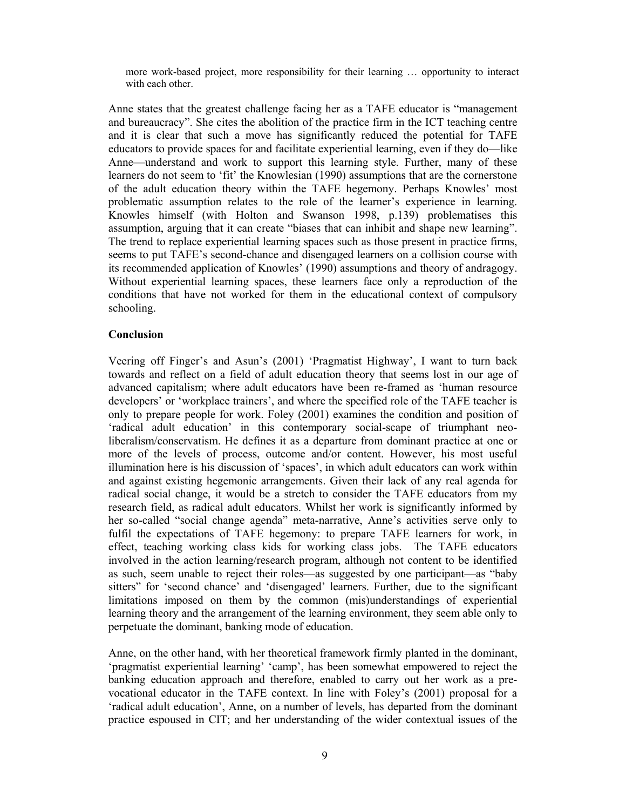more work-based project, more responsibility for their learning … opportunity to interact with each other.

Anne states that the greatest challenge facing her as a TAFE educator is "management and bureaucracy". She cites the abolition of the practice firm in the ICT teaching centre and it is clear that such a move has significantly reduced the potential for TAFE educators to provide spaces for and facilitate experiential learning, even if they do—like Anne—understand and work to support this learning style. Further, many of these learners do not seem to 'fit' the Knowlesian (1990) assumptions that are the cornerstone of the adult education theory within the TAFE hegemony. Perhaps Knowles' most problematic assumption relates to the role of the learner's experience in learning. Knowles himself (with Holton and Swanson 1998, p.139) problematises this assumption, arguing that it can create "biases that can inhibit and shape new learning". The trend to replace experiential learning spaces such as those present in practice firms, seems to put TAFE's second-chance and disengaged learners on a collision course with its recommended application of Knowles' (1990) assumptions and theory of andragogy. Without experiential learning spaces, these learners face only a reproduction of the conditions that have not worked for them in the educational context of compulsory schooling.

## **Conclusion**

Veering off Finger's and Asun's (2001) 'Pragmatist Highway', I want to turn back towards and reflect on a field of adult education theory that seems lost in our age of advanced capitalism; where adult educators have been re-framed as 'human resource developers' or 'workplace trainers', and where the specified role of the TAFE teacher is only to prepare people for work. Foley (2001) examines the condition and position of 'radical adult education' in this contemporary social-scape of triumphant neoliberalism/conservatism. He defines it as a departure from dominant practice at one or more of the levels of process, outcome and/or content. However, his most useful illumination here is his discussion of 'spaces', in which adult educators can work within and against existing hegemonic arrangements. Given their lack of any real agenda for radical social change, it would be a stretch to consider the TAFE educators from my research field, as radical adult educators. Whilst her work is significantly informed by her so-called "social change agenda" meta-narrative, Anne's activities serve only to fulfil the expectations of TAFE hegemony: to prepare TAFE learners for work, in effect, teaching working class kids for working class jobs. The TAFE educators involved in the action learning/research program, although not content to be identified as such, seem unable to reject their roles—as suggested by one participant—as "baby sitters" for 'second chance' and 'disengaged' learners. Further, due to the significant limitations imposed on them by the common (mis)understandings of experiential learning theory and the arrangement of the learning environment, they seem able only to perpetuate the dominant, banking mode of education.

Anne, on the other hand, with her theoretical framework firmly planted in the dominant, 'pragmatist experiential learning' 'camp', has been somewhat empowered to reject the banking education approach and therefore, enabled to carry out her work as a prevocational educator in the TAFE context. In line with Foley's (2001) proposal for a 'radical adult education', Anne, on a number of levels, has departed from the dominant practice espoused in CIT; and her understanding of the wider contextual issues of the